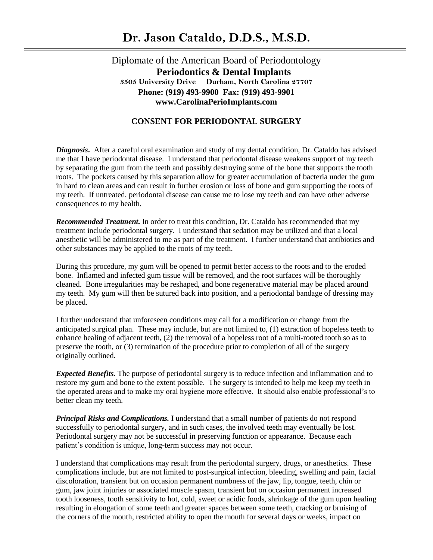## Diplomate of the American Board of Periodontology  **Periodontics & Dental Implants 3505 University Drive Durham, North Carolina 27707 Phone: (919) 493-9900 Fax: (919) 493-9901 www.CarolinaPerioImplants.com**

## **CONSENT FOR PERIODONTAL SURGERY**

*Diagnosis***.** After a careful oral examination and study of my dental condition, Dr. Cataldo has advised me that I have periodontal disease. I understand that periodontal disease weakens support of my teeth by separating the gum from the teeth and possibly destroying some of the bone that supports the tooth roots. The pockets caused by this separation allow for greater accumulation of bacteria under the gum in hard to clean areas and can result in further erosion or loss of bone and gum supporting the roots of my teeth. If untreated, periodontal disease can cause me to lose my teeth and can have other adverse consequences to my health.

*Recommended Treatment.* In order to treat this condition, Dr. Cataldo has recommended that my treatment include periodontal surgery. I understand that sedation may be utilized and that a local anesthetic will be administered to me as part of the treatment. I further understand that antibiotics and other substances may be applied to the roots of my teeth.

During this procedure, my gum will be opened to permit better access to the roots and to the eroded bone. Inflamed and infected gum tissue will be removed, and the root surfaces will be thoroughly cleaned. Bone irregularities may be reshaped, and bone regenerative material may be placed around my teeth. My gum will then be sutured back into position, and a periodontal bandage of dressing may be placed.

I further understand that unforeseen conditions may call for a modification or change from the anticipated surgical plan. These may include, but are not limited to, (1) extraction of hopeless teeth to enhance healing of adjacent teeth, (2) the removal of a hopeless root of a multi-rooted tooth so as to preserve the tooth, or (3) termination of the procedure prior to completion of all of the surgery originally outlined.

*Expected Benefits.* The purpose of periodontal surgery is to reduce infection and inflammation and to restore my gum and bone to the extent possible. The surgery is intended to help me keep my teeth in the operated areas and to make my oral hygiene more effective. It should also enable professional's to better clean my teeth.

*Principal Risks and Complications.* I understand that a small number of patients do not respond successfully to periodontal surgery, and in such cases, the involved teeth may eventually be lost. Periodontal surgery may not be successful in preserving function or appearance. Because each patient's condition is unique, long-term success may not occur.

I understand that complications may result from the periodontal surgery, drugs, or anesthetics. These complications include, but are not limited to post-surgical infection, bleeding, swelling and pain, facial discoloration, transient but on occasion permanent numbness of the jaw, lip, tongue, teeth, chin or gum, jaw joint injuries or associated muscle spasm, transient but on occasion permanent increased tooth looseness, tooth sensitivity to hot, cold, sweet or acidic foods, shrinkage of the gum upon healing resulting in elongation of some teeth and greater spaces between some teeth, cracking or bruising of the corners of the mouth, restricted ability to open the mouth for several days or weeks, impact on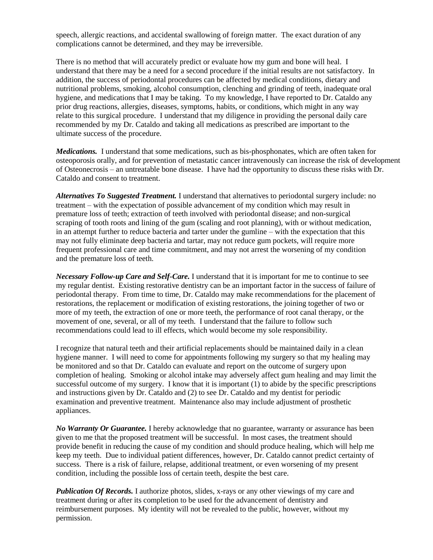speech, allergic reactions, and accidental swallowing of foreign matter. The exact duration of any complications cannot be determined, and they may be irreversible.

There is no method that will accurately predict or evaluate how my gum and bone will heal. I understand that there may be a need for a second procedure if the initial results are not satisfactory. In addition, the success of periodontal procedures can be affected by medical conditions, dietary and nutritional problems, smoking, alcohol consumption, clenching and grinding of teeth, inadequate oral hygiene, and medications that I may be taking. To my knowledge, I have reported to Dr. Cataldo any prior drug reactions, allergies, diseases, symptoms, habits, or conditions, which might in any way relate to this surgical procedure. I understand that my diligence in providing the personal daily care recommended by my Dr. Cataldo and taking all medications as prescribed are important to the ultimate success of the procedure.

*Medications.* I understand that some medications, such as bis-phosphonates, which are often taken for osteoporosis orally, and for prevention of metastatic cancer intravenously can increase the risk of development of Osteonecrosis – an untreatable bone disease. I have had the opportunity to discuss these risks with Dr. Cataldo and consent to treatment.

*Alternatives To Suggested Treatment.* I understand that alternatives to periodontal surgery include: no treatment – with the expectation of possible advancement of my condition which may result in premature loss of teeth; extraction of teeth involved with periodontal disease; and non-surgical scraping of tooth roots and lining of the gum (scaling and root planning), with or without medication, in an attempt further to reduce bacteria and tarter under the gumline – with the expectation that this may not fully eliminate deep bacteria and tartar, may not reduce gum pockets, will require more frequent professional care and time commitment, and may not arrest the worsening of my condition and the premature loss of teeth.

*Necessary Follow-up Care and Self-Care.* I understand that it is important for me to continue to see my regular dentist. Existing restorative dentistry can be an important factor in the success of failure of periodontal therapy. From time to time, Dr. Cataldo may make recommendations for the placement of restorations, the replacement or modification of existing restorations, the joining together of two or more of my teeth, the extraction of one or more teeth, the performance of root canal therapy, or the movement of one, several, or all of my teeth. I understand that the failure to follow such recommendations could lead to ill effects, which would become my sole responsibility.

I recognize that natural teeth and their artificial replacements should be maintained daily in a clean hygiene manner. I will need to come for appointments following my surgery so that my healing may be monitored and so that Dr. Cataldo can evaluate and report on the outcome of surgery upon completion of healing. Smoking or alcohol intake may adversely affect gum healing and may limit the successful outcome of my surgery. I know that it is important (1) to abide by the specific prescriptions and instructions given by Dr. Cataldo and (2) to see Dr. Cataldo and my dentist for periodic examination and preventive treatment. Maintenance also may include adjustment of prosthetic appliances.

*No Warranty Or Guarantee.* I hereby acknowledge that no guarantee, warranty or assurance has been given to me that the proposed treatment will be successful. In most cases, the treatment should provide benefit in reducing the cause of my condition and should produce healing, which will help me keep my teeth. Due to individual patient differences, however, Dr. Cataldo cannot predict certainty of success. There is a risk of failure, relapse, additional treatment, or even worsening of my present condition, including the possible loss of certain teeth, despite the best care.

*Publication Of Records.* I authorize photos, slides, x-rays or any other viewings of my care and treatment during or after its completion to be used for the advancement of dentistry and reimbursement purposes. My identity will not be revealed to the public, however, without my permission.